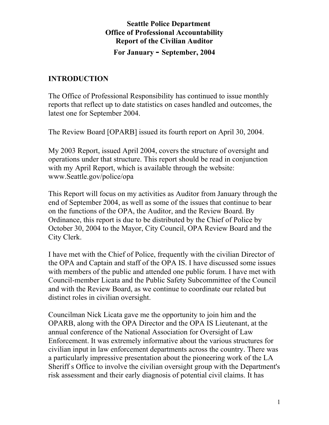# **Seattle Police Department Office of Professional Accountability Report of the Civilian Auditor For January - September, 2004**

## **INTRODUCTION**

The Office of Professional Responsibility has continued to issue monthly reports that reflect up to date statistics on cases handled and outcomes, the latest one for September 2004.

The Review Board [OPARB] issued its fourth report on April 30, 2004.

My 2003 Report, issued April 2004, covers the structure of oversight and operations under that structure. This report should be read in conjunction with my April Report, which is available through the website: www.Seattle.gov/police/opa

This Report will focus on my activities as Auditor from January through the end of September 2004, as well as some of the issues that continue to bear on the functions of the OPA, the Auditor, and the Review Board. By Ordinance, this report is due to be distributed by the Chief of Police by October 30, 2004 to the Mayor, City Council, OPA Review Board and the City Clerk.

I have met with the Chief of Police, frequently with the civilian Director of the OPA and Captain and staff of the OPA IS. I have discussed some issues with members of the public and attended one public forum. I have met with Council-member Licata and the Public Safety Subcommittee of the Council and with the Review Board, as we continue to coordinate our related but distinct roles in civilian oversight.

Councilman Nick Licata gave me the opportunity to join him and the OPARB, along with the OPA Director and the OPA IS Lieutenant, at the annual conference of the National Association for Oversight of Law Enforcement. It was extremely informative about the various structures for civilian input in law enforcement departments across the country. There was a particularly impressive presentation about the pioneering work of the LA Sheriff s Office to involve the civilian oversight group with the Department's risk assessment and their early diagnosis of potential civil claims. It has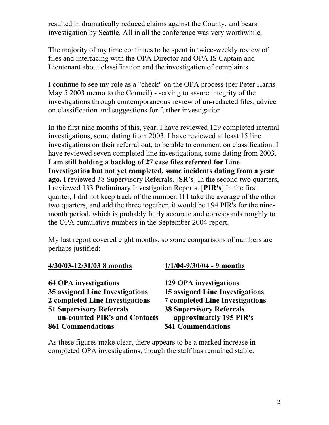resulted in dramatically reduced claims against the County, and bears investigation by Seattle. All in all the conference was very worthwhile.

The majority of my time continues to be spent in twice-weekly review of files and interfacing with the OPA Director and OPA IS Captain and Lieutenant about classification and the investigation of complaints.

I continue to see my role as a "check" on the OPA process (per Peter Harris May 5 2003 memo to the Council) - serving to assure integrity of the investigations through contemporaneous review of un-redacted files, advice on classification and suggestions for further investigation.

In the first nine months of this, year, I have reviewed 129 completed internal investigations, some dating from 2003. I have reviewed at least 15 line investigations on their referral out, to be able to comment on classification. I have reviewed seven completed line investigations, some dating from 2003. **I am still holding a backlog of 27 case files referred for Line Investigation but not yet completed, some incidents dating from a year ago.** I reviewed 38 Supervisory Referrals. [**SR's**] In the second two quarters, I reviewed 133 Preliminary Investigation Reports. [**PIR's**] In the first quarter, I did not keep track of the number. If I take the average of the other two quarters, and add the three together, it would be 194 PIR's for the ninemonth period, which is probably fairly accurate and corresponds roughly to the OPA cumulative numbers in the September 2004 report.

My last report covered eight months, so some comparisons of numbers are perhaps justified:

| <b>64 OPA</b> investigations           |
|----------------------------------------|
| <b>35 assigned Line Investigations</b> |
| 2 completed Line Investigations        |
| <b>51 Supervisory Referrals</b>        |
| un-counted PIR's and Contacts          |
| <b>861 Commendations</b>               |

#### **4/30/03-12/31/03 8 months 1/1/04-9/30/04 - 9 months**

**64 OPA investigations 129 OPA investigations 35 assigned Line Investigations 15 assigned Line Investigations 2 completed Line Investigations 7 completed Line Investigations 51 Supervisory Referrals 38 Supervisory Referrals**  approximately 195 PIR's **861 Commendations 541 Commendations** 

As these figures make clear, there appears to be a marked increase in completed OPA investigations, though the staff has remained stable.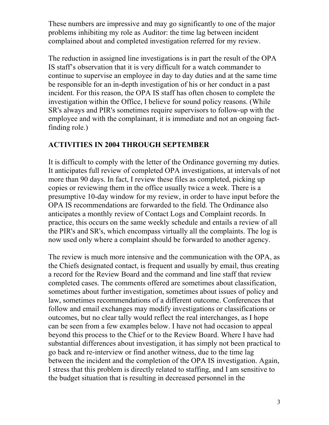These numbers are impressive and may go significantly to one of the major problems inhibiting my role as Auditor: the time lag between incident complained about and completed investigation referred for my review.

The reduction in assigned line investigations is in part the result of the OPA IS staff's observation that it is very difficult for a watch commander to continue to supervise an employee in day to day duties and at the same time be responsible for an in-depth investigation of his or her conduct in a past incident. For this reason, the OPA IS staff has often chosen to complete the investigation within the Office, I believe for sound policy reasons. (While SR's always and PIR's sometimes require supervisors to follow-up with the employee and with the complainant, it is immediate and not an ongoing factfinding role.)

## **ACTIVITIES IN 2004 THROUGH SEPTEMBER**

It is difficult to comply with the letter of the Ordinance governing my duties. It anticipates full review of completed OPA investigations, at intervals of not more than 90 days. In fact, I review these files as completed, picking up copies or reviewing them in the office usually twice a week. There is a presumptive 10-day window for my review, in order to have input before the OPA IS recommendations are forwarded to the field. The Ordinance also anticipates a monthly review of Contact Logs and Complaint records. In practice, this occurs on the same weekly schedule and entails a review of all the PIR's and SR's, which encompass virtually all the complaints. The log is now used only where a complaint should be forwarded to another agency.

The review is much more intensive and the communication with the OPA, as the Chiefs designated contact, is frequent and usually by email, thus creating a record for the Review Board and the command and line staff that review completed cases. The comments offered are sometimes about classification, sometimes about further investigation, sometimes about issues of policy and law, sometimes recommendations of a different outcome. Conferences that follow and email exchanges may modify investigations or classifications or outcomes, but no clear tally would reflect the real interchanges, as I hope can be seen from a few examples below. I have not had occasion to appeal beyond this process to the Chief or to the Review Board. Where I have had substantial differences about investigation, it has simply not been practical to go back and re-interview or find another witness, due to the time lag between the incident and the completion of the OPA IS investigation. Again, I stress that this problem is directly related to staffing, and I am sensitive to the budget situation that is resulting in decreased personnel in the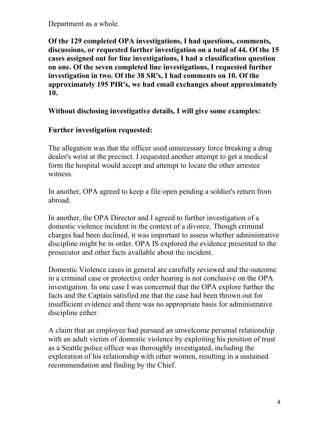Department as a whole.

**Of the 129 completed OPA investigations, I had questions, comments, discussions, or requested further investigation on a total of 44. Of the 15 cases assigned out for line investigations, I had a classification question on one. Of the seven completed line investigations, I requested further investigation in two. Of the 38 SR's, I had comments on 10. Of the approximately 195 PIR's, we had email exchanges about approximately 10.** 

#### **Without disclosing investigative details, I will give some examples:**

#### **Further investigation requested:**

The allegation was that the officer used unnecessary force breaking a drug dealer's wrist at the precinct. I requested another attempt to get a medical form the hospital would accept and attempt to locate the other arrestee witness.

In another, OPA agreed to keep a file open pending a soldier's return from abroad.

In another, the OPA Director and I agreed to further investigation of a domestic violence incident in the context of a divorce. Though criminal charges had been declined, it was important to assess whether administrative discipline might be in order. OPA IS explored the evidence presented to the prosecutor and other facts available about the incident.

Domestic Violence cases in general are carefully reviewed and the outcome in a criminal case or protective order hearing is not conclusive on the OPA investigation. In one case I was concerned that the OPA explore further the facts and the Captain satisfied me that the case had been thrown out for insufficient evidence and there was no appropriate basis for administrative discipline either.

A claim that an employee had pursued an unwelcome personal relationship with an adult victim of domestic violence by exploiting his position of trust as a Seattle police officer was thoroughly investigated, including the exploration of his relationship with other women, resulting in a sustained recommendation and finding by the Chief.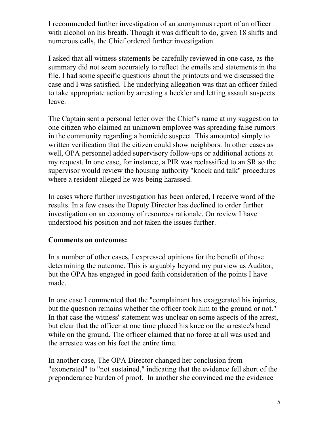I recommended further investigation of an anonymous report of an officer with alcohol on his breath. Though it was difficult to do, given 18 shifts and numerous calls, the Chief ordered further investigation.

I asked that all witness statements be carefully reviewed in one case, as the summary did not seem accurately to reflect the emails and statements in the file. I had some specific questions about the printouts and we discussed the case and I was satisfied. The underlying allegation was that an officer failed to take appropriate action by arresting a heckler and letting assault suspects leave.

The Captain sent a personal letter over the Chief's name at my suggestion to one citizen who claimed an unknown employee was spreading false rumors in the community regarding a homicide suspect. This amounted simply to written verification that the citizen could show neighbors. In other cases as well, OPA personnel added supervisory follow-ups or additional actions at my request. In one case, for instance, a PIR was reclassified to an SR so the supervisor would review the housing authority "knock and talk" procedures where a resident alleged he was being harassed.

In cases where further investigation has been ordered, I receive word of the results. In a few cases the Deputy Director has declined to order further investigation on an economy of resources rationale. On review I have understood his position and not taken the issues further.

## **Comments on outcomes:**

In a number of other cases, I expressed opinions for the benefit of those determining the outcome. This is arguably beyond my purview as Auditor, but the OPA has engaged in good faith consideration of the points I have made.

In one case I commented that the "complainant has exaggerated his injuries, but the question remains whether the officer took him to the ground or not." In that case the witness' statement was unclear on some aspects of the arrest, but clear that the officer at one time placed his knee on the arrestee's head while on the ground. The officer claimed that no force at all was used and the arrestee was on his feet the entire time.

In another case, The OPA Director changed her conclusion from "exonerated" to "not sustained," indicating that the evidence fell short of the preponderance burden of proof. In another she convinced me the evidence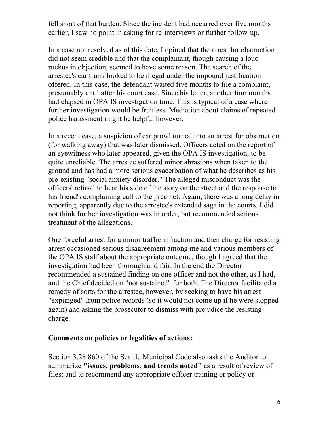fell short of that burden. Since the incident had occurred over five months earlier, I saw no point in asking for re-interviews or further follow-up.

In a case not resolved as of this date, I opined that the arrest for obstruction did not seem credible and that the complainant, though causing a loud ruckus in objection, seemed to have some reason. The search of the arrestee's car trunk looked to be illegal under the impound justification offered. In this case, the defendant waited five months to file a complaint, presumably until after his court case. Since his letter, another four months had elapsed in OPA IS investigation time. This is typical of a case where further investigation would be fruitless. Mediation about claims of repeated police harassment might be helpful however.

In a recent case, a suspicion of car prowl turned into an arrest for obstruction (for walking away) that was later dismissed. Officers acted on the report of an eyewitness who later appeared, given the OPA IS investigation, to be quite unreliable. The arrestee suffered minor abrasions when taken to the ground and has had a more serious exacerbation of what he describes as his pre-existing "social anxiety disorder." The alleged misconduct was the officers' refusal to hear his side of the story on the street and the response to his friend's complaining call to the precinct. Again, there was a long delay in reporting, apparently due to the arrestee's extended saga in the courts. I did not think further investigation was in order, but recommended serious treatment of the allegations.

One forceful arrest for a minor traffic infraction and then charge for resisting arrest occasioned serious disagreement among me and various members of the OPA IS staff about the appropriate outcome, though I agreed that the investigation had been thorough and fair. In the end the Director recommended a sustained finding on one officer and not the other, as I had, and the Chief decided on "not sustained" for both. The Director facilitated a remedy of sorts for the arrestee, however, by seeking to have his arrest "expunged" from police records (so it would not come up if he were stopped again) and asking the prosecutor to dismiss with prejudice the resisting charge.

#### **Comments on policies or legalities of actions:**

Section 3.28.860 of the Seattle Municipal Code also tasks the Auditor to summarize **"issues, problems, and trends noted"** as a result of review of files; and to recommend any appropriate officer training or policy or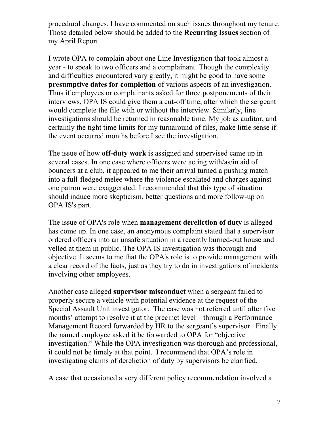procedural changes. I have commented on such issues throughout my tenure. Those detailed below should be added to the **Recurring Issues** section of my April Report.

I wrote OPA to complain about one Line Investigation that took almost a year - to speak to two officers and a complainant. Though the complexity and difficulties encountered vary greatly, it might be good to have some **presumptive dates for completion** of various aspects of an investigation. Thus if employees or complainants asked for three postponements of their interviews, OPA IS could give them a cut-off time, after which the sergeant would complete the file with or without the interview. Similarly, line investigations should be returned in reasonable time. My job as auditor, and certainly the tight time limits for my turnaround of files, make little sense if the event occurred months before I see the investigation.

The issue of how **off-duty work** is assigned and supervised came up in several cases. In one case where officers were acting with/as/in aid of bouncers at a club, it appeared to me their arrival turned a pushing match into a full-fledged melee where the violence escalated and charges against one patron were exaggerated. I recommended that this type of situation should induce more skepticism, better questions and more follow-up on OPA IS's part.

The issue of OPA's role when **management dereliction of duty** is alleged has come up. In one case, an anonymous complaint stated that a supervisor ordered officers into an unsafe situation in a recently burned-out house and yelled at them in public. The OPA IS investigation was thorough and objective. It seems to me that the OPA's role is to provide management with a clear record of the facts, just as they try to do in investigations of incidents involving other employees.

Another case alleged **supervisor misconduct** when a sergeant failed to properly secure a vehicle with potential evidence at the request of the Special Assault Unit investigator. The case was not referred until after five months' attempt to resolve it at the precinct level – through a Performance Management Record forwarded by HR to the sergeant's supervisor. Finally the named employee asked it be forwarded to OPA for "objective investigation." While the OPA investigation was thorough and professional, it could not be timely at that point. I recommend that OPA's role in investigating claims of dereliction of duty by supervisors be clarified.

A case that occasioned a very different policy recommendation involved a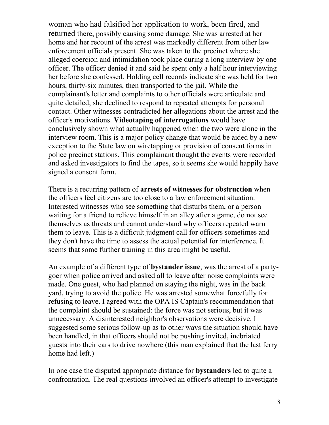woman who had falsified her application to work, been fired, and returned there, possibly causing some damage. She was arrested at her home and her recount of the arrest was markedly different from other law enforcement officials present. She was taken to the precinct where she alleged coercion and intimidation took place during a long interview by one officer. The officer denied it and said he spent only a half hour interviewing her before she confessed. Holding cell records indicate she was held for two hours, thirty-six minutes, then transported to the jail. While the complainant's letter and complaints to other officials were articulate and quite detailed, she declined to respond to repeated attempts for personal contact. Other witnesses contradicted her allegations about the arrest and the officer's motivations. **Videotaping of interrogations** would have conclusively shown what actually happened when the two were alone in the interview room. This is a major policy change that would be aided by a new exception to the State law on wiretapping or provision of consent forms in police precinct stations. This complainant thought the events were recorded and asked investigators to find the tapes, so it seems she would happily have signed a consent form.

There is a recurring pattern of **arrests of witnesses for obstruction** when the officers feel citizens are too close to a law enforcement situation. Interested witnesses who see something that disturbs them, or a person waiting for a friend to relieve himself in an alley after a game, do not see themselves as threats and cannot understand why officers repeated warn them to leave. This is a difficult judgment call for officers sometimes and they don't have the time to assess the actual potential for interference. It seems that some further training in this area might be useful.

An example of a different type of **bystander issue**, was the arrest of a partygoer when police arrived and asked all to leave after noise complaints were made. One guest, who had planned on staying the night, was in the back yard, trying to avoid the police. He was arrested somewhat forcefully for refusing to leave. I agreed with the OPA IS Captain's recommendation that the complaint should be sustained: the force was not serious, but it was unnecessary. A disinterested neighbor's observations were decisive. I suggested some serious follow-up as to other ways the situation should have been handled, in that officers should not be pushing invited, inebriated guests into their cars to drive nowhere (this man explained that the last ferry home had left.)

In one case the disputed appropriate distance for **bystanders** led to quite a confrontation. The real questions involved an officer's attempt to investigate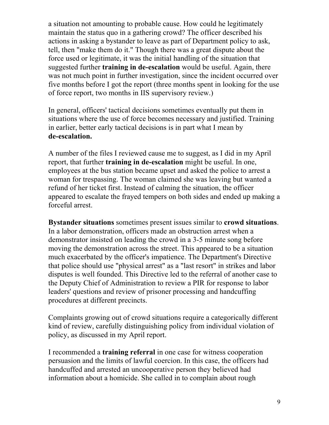a situation not amounting to probable cause. How could he legitimately maintain the status quo in a gathering crowd? The officer described his actions in asking a bystander to leave as part of Department policy to ask, tell, then "make them do it." Though there was a great dispute about the force used or legitimate, it was the initial handling of the situation that suggested further **training in de-escalation** would be useful. Again, there was not much point in further investigation, since the incident occurred over five months before I got the report (three months spent in looking for the use of force report, two months in IIS supervisory review.)

In general, officers' tactical decisions sometimes eventually put them in situations where the use of force becomes necessary and justified. Training in earlier, better early tactical decisions is in part what I mean by **de-escalation.**

A number of the files I reviewed cause me to suggest, as I did in my April report, that further **training in de-escalation** might be useful. In one, employees at the bus station became upset and asked the police to arrest a woman for trespassing. The woman claimed she was leaving but wanted a refund of her ticket first. Instead of calming the situation, the officer appeared to escalate the frayed tempers on both sides and ended up making a forceful arrest.

**Bystander situations** sometimes present issues similar to **crowd situations**. In a labor demonstration, officers made an obstruction arrest when a demonstrator insisted on leading the crowd in a 3-5 minute song before moving the demonstration across the street. This appeared to be a situation much exacerbated by the officer's impatience. The Department's Directive that police should use "physical arrest" as a "last resort" in strikes and labor disputes is well founded. This Directive led to the referral of another case to the Deputy Chief of Administration to review a PIR for response to labor leaders' questions and review of prisoner processing and handcuffing procedures at different precincts.

Complaints growing out of crowd situations require a categorically different kind of review, carefully distinguishing policy from individual violation of policy, as discussed in my April report.

I recommended a **training referral** in one case for witness cooperation persuasion and the limits of lawful coercion. In this case, the officers had handcuffed and arrested an uncooperative person they believed had information about a homicide. She called in to complain about rough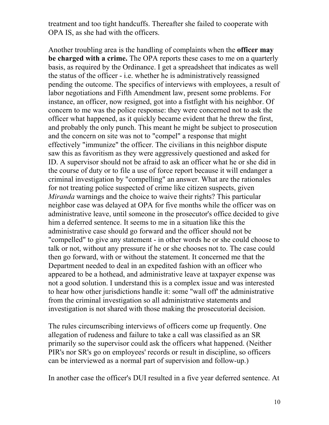treatment and too tight handcuffs. Thereafter she failed to cooperate with OPA IS, as she had with the officers.

Another troubling area is the handling of complaints when the **officer may be charged with a crime.** The OPA reports these cases to me on a quarterly basis, as required by the Ordinance. I get a spreadsheet that indicates as well the status of the officer - i.e. whether he is administratively reassigned pending the outcome. The specifics of interviews with employees, a result of labor negotiations and Fifth Amendment law, present some problems. For instance, an officer, now resigned, got into a fistfight with his neighbor. Of concern to me was the police response: they were concerned not to ask the officer what happened, as it quickly became evident that he threw the first, and probably the only punch. This meant he might be subject to prosecution and the concern on site was not to "compel" a response that might effectively "immunize" the officer. The civilians in this neighbor dispute saw this as favoritism as they were aggressively questioned and asked for ID. A supervisor should not be afraid to ask an officer what he or she did in the course of duty or to file a use of force report because it will endanger a criminal investigation by "compelling" an answer. What are the rationales for not treating police suspected of crime like citizen suspects, given *Miranda* warnings and the choice to waive their rights? This particular neighbor case was delayed at OPA for five months while the officer was on administrative leave, until someone in the prosecutor's office, decided to give him a deferred sentence. It seems to me in a situation like this the administrative case should go forward and the officer should not be "compelled" to give any statement - in other words he or she could choose to talk or not, without any pressure if he or she chooses not to. The case could then go forward, with or without the statement. It concerned me that the Department needed to deal in an expedited fashion with an officer who appeared to be a hothead, and administrative leave at taxpayer expense was not a good solution. I understand this is a complex issue and was interested to hear how other jurisdictions handle it: some "wall off' the administrative from the criminal investigation so all administrative statements and investigation is not shared with those making the prosecutorial decision.

The rules circumscribing interviews of officers come up frequently. One allegation of rudeness and failure to take a call was classified as an SR primarily so the supervisor could ask the officers what happened. (Neither PIR's nor SR's go on employees' records or result in discipline, so officers can be interviewed as a normal part of supervision and follow-up.)

In another case the officer's DUI resulted in a five year deferred sentence. At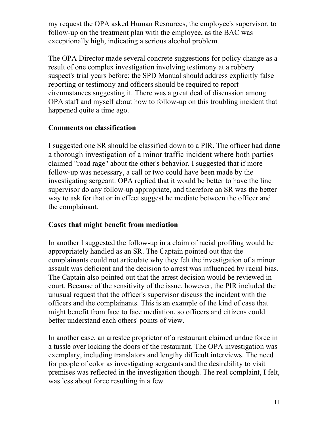my request the OPA asked Human Resources, the employee's supervisor, to follow-up on the treatment plan with the employee, as the BAC was exceptionally high, indicating a serious alcohol problem.

The OPA Director made several concrete suggestions for policy change as a result of one complex investigation involving testimony at a robbery suspect's trial years before: the SPD Manual should address explicitly false reporting or testimony and officers should be required to report circumstances suggesting it. There was a great deal of discussion among OPA staff and myself about how to follow-up on this troubling incident that happened quite a time ago.

## **Comments on classification**

I suggested one SR should be classified down to a PIR. The officer had done a thorough investigation of a minor traffic incident where both parties claimed "road rage" about the other's behavior. I suggested that if more follow-up was necessary, a call or two could have been made by the investigating sergeant. OPA replied that it would be better to have the line supervisor do any follow-up appropriate, and therefore an SR was the better way to ask for that or in effect suggest he mediate between the officer and the complainant.

## **Cases that might benefit from mediation**

In another I suggested the follow-up in a claim of racial profiling would be appropriately handled as an SR. The Captain pointed out that the complainants could not articulate why they felt the investigation of a minor assault was deficient and the decision to arrest was influenced by racial bias. The Captain also pointed out that the arrest decision would be reviewed in court. Because of the sensitivity of the issue, however, the PIR included the unusual request that the officer's supervisor discuss the incident with the officers and the complainants. This is an example of the kind of case that might benefit from face to face mediation, so officers and citizens could better understand each others' points of view.

In another case, an arrestee proprietor of a restaurant claimed undue force in a tussle over locking the doors of the restaurant. The OPA investigation was exemplary, including translators and lengthy difficult interviews. The need for people of color as investigating sergeants and the desirability to visit premises was reflected in the investigation though. The real complaint, I felt, was less about force resulting in a few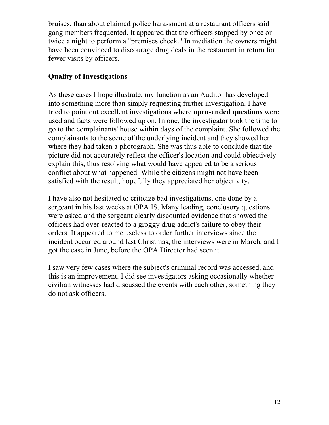bruises, than about claimed police harassment at a restaurant officers said gang members frequented. It appeared that the officers stopped by once or twice a night to perform a "premises check." In mediation the owners might have been convinced to discourage drug deals in the restaurant in return for fewer visits by officers.

# **Quality of Investigations**

As these cases I hope illustrate, my function as an Auditor has developed into something more than simply requesting further investigation. I have tried to point out excellent investigations where **open-ended questions** were used and facts were followed up on. In one, the investigator took the time to go to the complainants' house within days of the complaint. She followed the complainants to the scene of the underlying incident and they showed her where they had taken a photograph. She was thus able to conclude that the picture did not accurately reflect the officer's location and could objectively explain this, thus resolving what would have appeared to be a serious conflict about what happened. While the citizens might not have been satisfied with the result, hopefully they appreciated her objectivity.

I have also not hesitated to criticize bad investigations, one done by a sergeant in his last weeks at OPA IS. Many leading, conclusory questions were asked and the sergeant clearly discounted evidence that showed the officers had over-reacted to a groggy drug addict's failure to obey their orders. It appeared to me useless to order further interviews since the incident occurred around last Christmas, the interviews were in March, and I got the case in June, before the OPA Director had seen it.

I saw very few cases where the subject's criminal record was accessed, and this is an improvement. I did see investigators asking occasionally whether civilian witnesses had discussed the events with each other, something they do not ask officers.